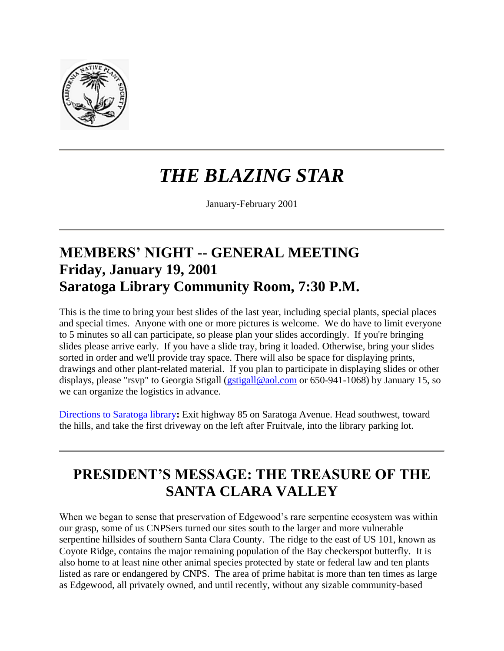

# *THE BLAZING STAR*

January-February 2001

### **MEMBERS' NIGHT -- GENERAL MEETING Friday, January 19, 2001 Saratoga Library Community Room, 7:30 P.M.**

This is the time to bring your best slides of the last year, including special plants, special places and special times. Anyone with one or more pictures is welcome. We do have to limit everyone to 5 minutes so all can participate, so please plan your slides accordingly. If you're bringing slides please arrive early. If you have a slide tray, bring it loaded. Otherwise, bring your slides sorted in order and we'll provide tray space. There will also be space for displaying prints, drawings and other plant-related material. If you plan to participate in displaying slides or other displays, please "rsvp" to Georgia Stigall [\(gstigall@aol.com](mailto:gstigall@aol.com) or 650-941-1068) by January 15, so we can organize the logistics in advance.

[Directions to Saratoga library](maps.htm)**:** Exit highway 85 on Saratoga Avenue. Head southwest, toward the hills, and take the first driveway on the left after Fruitvale, into the library parking lot.

### **PRESIDENT'S MESSAGE: THE TREASURE OF THE SANTA CLARA VALLEY**

When we began to sense that preservation of Edgewood's rare serpentine ecosystem was within our grasp, some of us CNPSers turned our sites south to the larger and more vulnerable serpentine hillsides of southern Santa Clara County. The ridge to the east of US 101, known as Coyote Ridge, contains the major remaining population of the Bay checkerspot butterfly. It is also home to at least nine other animal species protected by state or federal law and ten plants listed as rare or endangered by CNPS. The area of prime habitat is more than ten times as large as Edgewood, all privately owned, and until recently, without any sizable community-based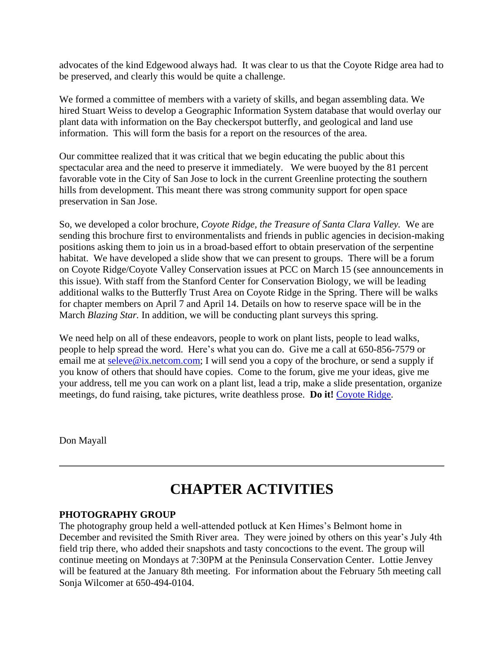advocates of the kind Edgewood always had. It was clear to us that the Coyote Ridge area had to be preserved, and clearly this would be quite a challenge.

We formed a committee of members with a variety of skills, and began assembling data. We hired Stuart Weiss to develop a Geographic Information System database that would overlay our plant data with information on the Bay checkerspot butterfly, and geological and land use information. This will form the basis for a report on the resources of the area.

Our committee realized that it was critical that we begin educating the public about this spectacular area and the need to preserve it immediately. We were buoyed by the 81 percent favorable vote in the City of San Jose to lock in the current Greenline protecting the southern hills from development. This meant there was strong community support for open space preservation in San Jose.

So, we developed a color brochure, *Coyote Ridge, the Treasure of Santa Clara Valley.* We are sending this brochure first to environmentalists and friends in public agencies in decision-making positions asking them to join us in a broad-based effort to obtain preservation of the serpentine habitat. We have developed a slide show that we can present to groups. There will be a forum on Coyote Ridge/Coyote Valley Conservation issues at PCC on March 15 (see announcements in this issue). With staff from the Stanford Center for Conservation Biology, we will be leading additional walks to the Butterfly Trust Area on Coyote Ridge in the Spring. There will be walks for chapter members on April 7 and April 14. Details on how to reserve space will be in the March *Blazing Star.* In addition, we will be conducting plant surveys this spring.

We need help on all of these endeavors, people to work on plant lists, people to lead walks, people to help spread the word. Here's what you can do. Give me a call at 650-856-7579 or email me at [seleve@ix.netcom.com;](mailto:seleve@ix.netcom.com) I will send you a copy of the brochure, or send a supply if you know of others that should have copies. Come to the forum, give me your ideas, give me your address, tell me you can work on a plant list, lead a trip, make a slide presentation, organize meetings, do fund raising, take pictures, write deathless prose. **Do it!** [Coyote Ridge.](coyote/index.htm)

Don Mayall

### **CHAPTER ACTIVITIES**

#### **PHOTOGRAPHY GROUP**

The photography group held a well-attended potluck at Ken Himes's Belmont home in December and revisited the Smith River area. They were joined by others on this year's July 4th field trip there, who added their snapshots and tasty concoctions to the event. The group will continue meeting on Mondays at 7:30PM at the Peninsula Conservation Center. Lottie Jenvey will be featured at the January 8th meeting. For information about the February 5th meeting call Sonja Wilcomer at 650-494-0104.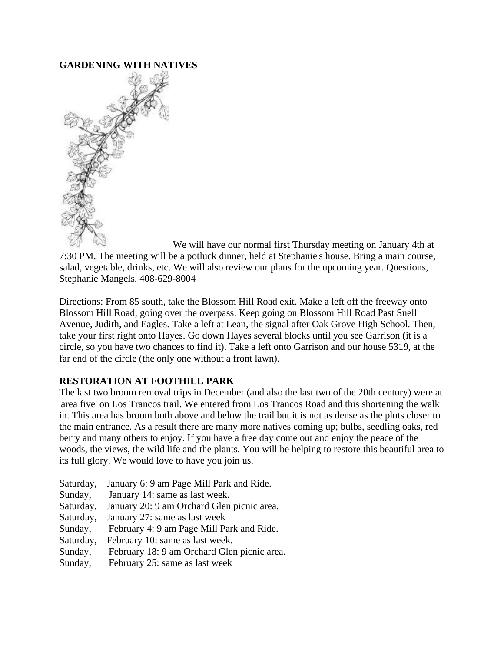#### **GARDENING WITH NATIVES**



We will have our normal first Thursday meeting on January 4th at 7:30 PM. The meeting will be a potluck dinner, held at Stephanie's house. Bring a main course, salad, vegetable, drinks, etc. We will also review our plans for the upcoming year. Questions, Stephanie Mangels, 408-629-8004

Directions: From 85 south, take the Blossom Hill Road exit. Make a left off the freeway onto Blossom Hill Road, going over the overpass. Keep going on Blossom Hill Road Past Snell Avenue, Judith, and Eagles. Take a left at Lean, the signal after Oak Grove High School. Then, take your first right onto Hayes. Go down Hayes several blocks until you see Garrison (it is a circle, so you have two chances to find it). Take a left onto Garrison and our house 5319, at the far end of the circle (the only one without a front lawn).

#### **RESTORATION AT FOOTHILL PARK**

The last two broom removal trips in December (and also the last two of the 20th century) were at 'area five' on Los Trancos trail. We entered from Los Trancos Road and this shortening the walk in. This area has broom both above and below the trail but it is not as dense as the plots closer to the main entrance. As a result there are many more natives coming up; bulbs, seedling oaks, red berry and many others to enjoy. If you have a free day come out and enjoy the peace of the woods, the views, the wild life and the plants. You will be helping to restore this beautiful area to its full glory. We would love to have you join us.

- Saturday, January 6: 9 am Page Mill Park and Ride. Sunday, January 14: same as last week. Saturday, January 20: 9 am Orchard Glen picnic area. Saturday, January 27: same as last week Sunday, February 4: 9 am Page Mill Park and Ride. Saturday, February 10: same as last week.
- Sunday, February 18: 9 am Orchard Glen picnic area.
- Sunday, February 25: same as last week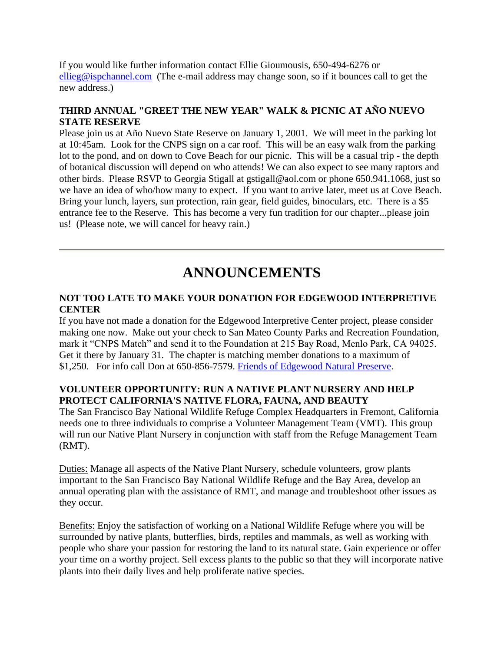If you would like further information contact Ellie Gioumousis, 650-494-6276 or [ellieg@ispchannel.com](mailto:ellieg@ispchannel.com) (The e-mail address may change soon, so if it bounces call to get the new address.)

#### **THIRD ANNUAL "GREET THE NEW YEAR" WALK & PICNIC AT AÑO NUEVO STATE RESERVE**

Please join us at Año Nuevo State Reserve on January 1, 2001. We will meet in the parking lot at 10:45am. Look for the CNPS sign on a car roof. This will be an easy walk from the parking lot to the pond, and on down to Cove Beach for our picnic. This will be a casual trip - the depth of botanical discussion will depend on who attends! We can also expect to see many raptors and other birds. Please RSVP to Georgia Stigall at gstigall@aol.com or phone 650.941.1068, just so we have an idea of who/how many to expect. If you want to arrive later, meet us at Cove Beach. Bring your lunch, layers, sun protection, rain gear, field guides, binoculars, etc. There is a \$5 entrance fee to the Reserve. This has become a very fun tradition for our chapter...please join us! (Please note, we will cancel for heavy rain.)

### **ANNOUNCEMENTS**

#### **NOT TOO LATE TO MAKE YOUR DONATION FOR EDGEWOOD INTERPRETIVE CENTER**

If you have not made a donation for the Edgewood Interpretive Center project, please consider making one now. Make out your check to San Mateo County Parks and Recreation Foundation, mark it "CNPS Match" and send it to the Foundation at 215 Bay Road, Menlo Park, CA 94025. Get it there by January 31. The chapter is matching member donations to a maximum of \$1,250. For info call Don at 650-856-7579. [Friends of Edgewood Natural Preserve.](http://www.friendsofedgewood.org/)

#### **VOLUNTEER OPPORTUNITY: RUN A NATIVE PLANT NURSERY AND HELP PROTECT CALIFORNIA'S NATIVE FLORA, FAUNA, AND BEAUTY**

The San Francisco Bay National Wildlife Refuge Complex Headquarters in Fremont, California needs one to three individuals to comprise a Volunteer Management Team (VMT). This group will run our Native Plant Nursery in conjunction with staff from the Refuge Management Team (RMT).

Duties: Manage all aspects of the Native Plant Nursery, schedule volunteers, grow plants important to the San Francisco Bay National Wildlife Refuge and the Bay Area, develop an annual operating plan with the assistance of RMT, and manage and troubleshoot other issues as they occur.

Benefits: Enjoy the satisfaction of working on a National Wildlife Refuge where you will be surrounded by native plants, butterflies, birds, reptiles and mammals, as well as working with people who share your passion for restoring the land to its natural state. Gain experience or offer your time on a worthy project. Sell excess plants to the public so that they will incorporate native plants into their daily lives and help proliferate native species.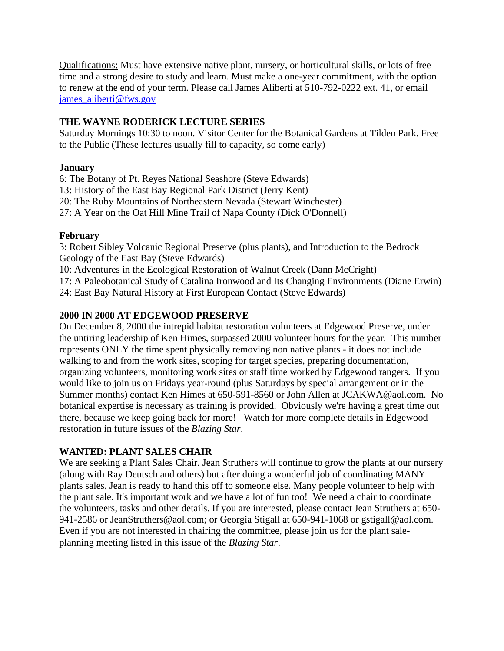Qualifications: Must have extensive native plant, nursery, or horticultural skills, or lots of free time and a strong desire to study and learn. Must make a one-year commitment, with the option to renew at the end of your term. Please call James Aliberti at 510-792-0222 ext. 41, or email [james\\_aliberti@fws.gov](mailto:james_aliberti@fws.gov)

#### **THE WAYNE RODERICK LECTURE SERIES**

Saturday Mornings 10:30 to noon. Visitor Center for the Botanical Gardens at Tilden Park. Free to the Public (These lectures usually fill to capacity, so come early)

#### **January**

6: The Botany of Pt. Reyes National Seashore (Steve Edwards) 13: History of the East Bay Regional Park District (Jerry Kent) 20: The Ruby Mountains of Northeastern Nevada (Stewart Winchester) 27: A Year on the Oat Hill Mine Trail of Napa County (Dick O'Donnell)

#### **February**

3: Robert Sibley Volcanic Regional Preserve (plus plants), and Introduction to the Bedrock Geology of the East Bay (Steve Edwards)

10: Adventures in the Ecological Restoration of Walnut Creek (Dann McCright)

17: A Paleobotanical Study of Catalina Ironwood and Its Changing Environments (Diane Erwin) 24: East Bay Natural History at First European Contact (Steve Edwards)

#### **2000 IN 2000 AT EDGEWOOD PRESERVE**

On December 8, 2000 the intrepid habitat restoration volunteers at Edgewood Preserve, under the untiring leadership of Ken Himes, surpassed 2000 volunteer hours for the year. This number represents ONLY the time spent physically removing non native plants - it does not include walking to and from the work sites, scoping for target species, preparing documentation, organizing volunteers, monitoring work sites or staff time worked by Edgewood rangers. If you would like to join us on Fridays year-round (plus Saturdays by special arrangement or in the Summer months) contact Ken Himes at 650-591-8560 or John Allen at JCAKWA@aol.com. No botanical expertise is necessary as training is provided. Obviously we're having a great time out there, because we keep going back for more! Watch for more complete details in Edgewood restoration in future issues of the *Blazing Star*.

#### **WANTED: PLANT SALES CHAIR**

We are seeking a Plant Sales Chair. Jean Struthers will continue to grow the plants at our nursery (along with Ray Deutsch and others) but after doing a wonderful job of coordinating MANY plants sales, Jean is ready to hand this off to someone else. Many people volunteer to help with the plant sale. It's important work and we have a lot of fun too! We need a chair to coordinate the volunteers, tasks and other details. If you are interested, please contact Jean Struthers at 650- 941-2586 or JeanStruthers@aol.com; or Georgia Stigall at 650-941-1068 or gstigall@aol.com. Even if you are not interested in chairing the committee, please join us for the plant saleplanning meeting listed in this issue of the *Blazing Star*.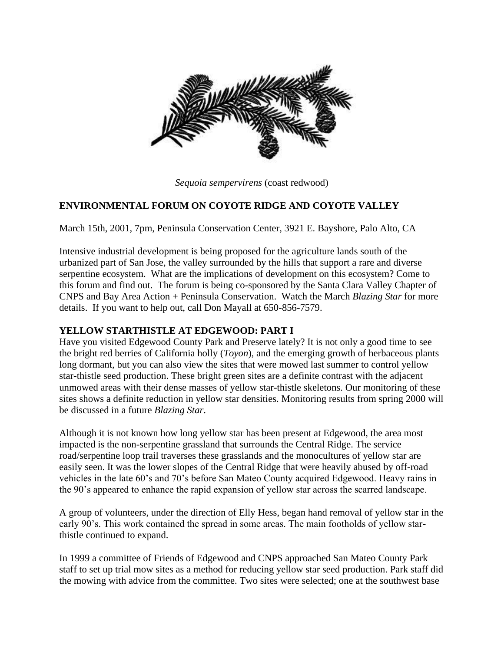

*Sequoia sempervirens* (coast redwood)

#### **ENVIRONMENTAL FORUM ON COYOTE RIDGE AND COYOTE VALLEY**

March 15th, 2001, 7pm, Peninsula Conservation Center, 3921 E. Bayshore, Palo Alto, CA

Intensive industrial development is being proposed for the agriculture lands south of the urbanized part of San Jose, the valley surrounded by the hills that support a rare and diverse serpentine ecosystem. What are the implications of development on this ecosystem? Come to this forum and find out. The forum is being co-sponsored by the Santa Clara Valley Chapter of CNPS and Bay Area Action + Peninsula Conservation. Watch the March *Blazing Star* for more details. If you want to help out, call Don Mayall at 650-856-7579.

#### **YELLOW STARTHISTLE AT EDGEWOOD: PART I**

Have you visited Edgewood County Park and Preserve lately? It is not only a good time to see the bright red berries of California holly (*Toyon*), and the emerging growth of herbaceous plants long dormant, but you can also view the sites that were mowed last summer to control yellow star-thistle seed production. These bright green sites are a definite contrast with the adjacent unmowed areas with their dense masses of yellow star-thistle skeletons. Our monitoring of these sites shows a definite reduction in yellow star densities. Monitoring results from spring 2000 will be discussed in a future *Blazing Star*.

Although it is not known how long yellow star has been present at Edgewood, the area most impacted is the non-serpentine grassland that surrounds the Central Ridge. The service road/serpentine loop trail traverses these grasslands and the monocultures of yellow star are easily seen. It was the lower slopes of the Central Ridge that were heavily abused by off-road vehicles in the late 60's and 70's before San Mateo County acquired Edgewood. Heavy rains in the 90's appeared to enhance the rapid expansion of yellow star across the scarred landscape.

A group of volunteers, under the direction of Elly Hess, began hand removal of yellow star in the early 90's. This work contained the spread in some areas. The main footholds of yellow starthistle continued to expand.

In 1999 a committee of Friends of Edgewood and CNPS approached San Mateo County Park staff to set up trial mow sites as a method for reducing yellow star seed production. Park staff did the mowing with advice from the committee. Two sites were selected; one at the southwest base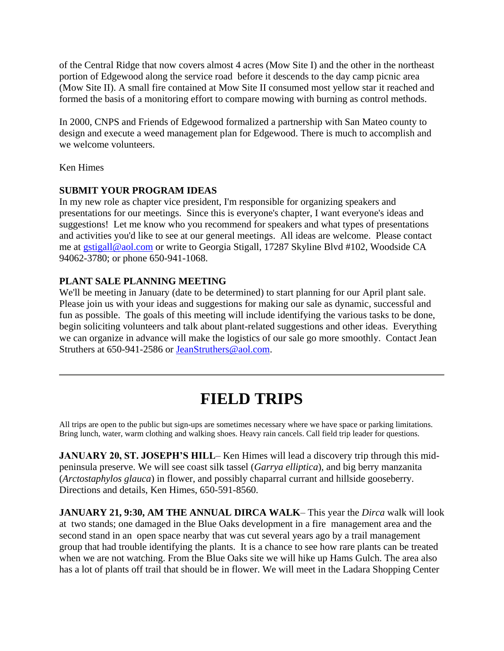of the Central Ridge that now covers almost 4 acres (Mow Site I) and the other in the northeast portion of Edgewood along the service road before it descends to the day camp picnic area (Mow Site II). A small fire contained at Mow Site II consumed most yellow star it reached and formed the basis of a monitoring effort to compare mowing with burning as control methods.

In 2000, CNPS and Friends of Edgewood formalized a partnership with San Mateo county to design and execute a weed management plan for Edgewood. There is much to accomplish and we welcome volunteers.

Ken Himes

#### **SUBMIT YOUR PROGRAM IDEAS**

In my new role as chapter vice president, I'm responsible for organizing speakers and presentations for our meetings. Since this is everyone's chapter, I want everyone's ideas and suggestions! Let me know who you recommend for speakers and what types of presentations and activities you'd like to see at our general meetings. All ideas are welcome. Please contact me at [gstigall@aol.com](mailto:gstigall@aol.com) or write to Georgia Stigall, 17287 Skyline Blvd #102, Woodside CA 94062-3780; or phone 650-941-1068.

#### **PLANT SALE PLANNING MEETING**

We'll be meeting in January (date to be determined) to start planning for our April plant sale. Please join us with your ideas and suggestions for making our sale as dynamic, successful and fun as possible. The goals of this meeting will include identifying the various tasks to be done, begin soliciting volunteers and talk about plant-related suggestions and other ideas. Everything we can organize in advance will make the logistics of our sale go more smoothly. Contact Jean Struthers at 650-941-2586 or [JeanStruthers@aol.com.](mailto:JeanStruthers@aol.com)

## **FIELD TRIPS**

All trips are open to the public but sign-ups are sometimes necessary where we have space or parking limitations. Bring lunch, water, warm clothing and walking shoes. Heavy rain cancels. Call field trip leader for questions.

**JANUARY 20, ST. JOSEPH'S HILL– Ken Himes will lead a discovery trip through this mid**peninsula preserve. We will see coast silk tassel (*Garrya elliptica*), and big berry manzanita (*Arctostaphylos glauca*) in flower, and possibly chaparral currant and hillside gooseberry. Directions and details, Ken Himes, 650-591-8560.

**JANUARY 21, 9:30, AM THE ANNUAL DIRCA WALK**– This year the *Dirca* walk will look at two stands; one damaged in the Blue Oaks development in a fire management area and the second stand in an open space nearby that was cut several years ago by a trail management group that had trouble identifying the plants. It is a chance to see how rare plants can be treated when we are not watching. From the Blue Oaks site we will hike up Hams Gulch. The area also has a lot of plants off trail that should be in flower. We will meet in the Ladara Shopping Center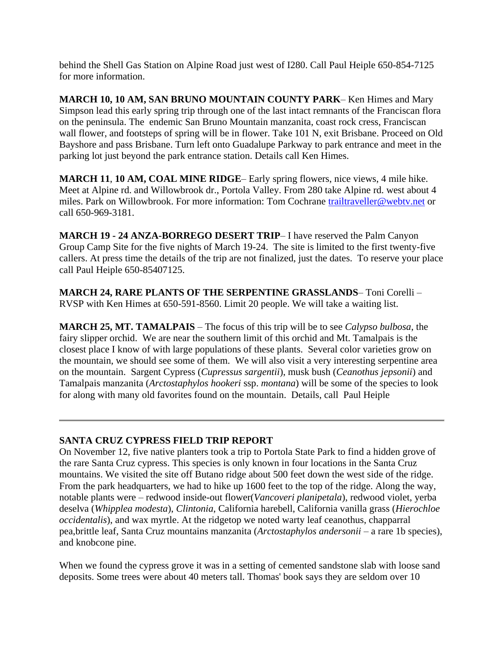behind the Shell Gas Station on Alpine Road just west of I280. Call Paul Heiple 650-854-7125 for more information.

**MARCH 10, 10 AM, SAN BRUNO MOUNTAIN COUNTY PARK**– Ken Himes and Mary Simpson lead this early spring trip through one of the last intact remnants of the Franciscan flora on the peninsula. The endemic San Bruno Mountain manzanita, coast rock cress, Franciscan wall flower, and footsteps of spring will be in flower. Take 101 N, exit Brisbane. Proceed on Old Bayshore and pass Brisbane. Turn left onto Guadalupe Parkway to park entrance and meet in the parking lot just beyond the park entrance station. Details call Ken Himes.

**MARCH 11**, **10 AM, COAL MINE RIDGE**– Early spring flowers, nice views, 4 mile hike. Meet at Alpine rd. and Willowbrook dr., Portola Valley. From 280 take Alpine rd. west about 4 miles. Park on Willowbrook. For more information: Tom Cochrane [trailtraveller@webtv.net](mailto:trailtraveller@webtv.net) or call 650-969-3181.

**MARCH 19 - 24 ANZA-BORREGO DESERT TRIP**– I have reserved the Palm Canyon Group Camp Site for the five nights of March 19-24. The site is limited to the first twenty-five callers. At press time the details of the trip are not finalized, just the dates. To reserve your place call Paul Heiple 650-85407125.

**MARCH 24, RARE PLANTS OF THE SERPENTINE GRASSLANDS**– Toni Corelli – RVSP with Ken Himes at 650-591-8560. Limit 20 people. We will take a waiting list.

**MARCH 25, MT. TAMALPAIS** – The focus of this trip will be to see *Calypso bulbosa*, the fairy slipper orchid. We are near the southern limit of this orchid and Mt. Tamalpais is the closest place I know of with large populations of these plants. Several color varieties grow on the mountain, we should see some of them. We will also visit a very interesting serpentine area on the mountain. Sargent Cypress (*Cupressus sargentii*), musk bush (*Ceanothus jepsonii*) and Tamalpais manzanita (*Arctostaphylos hookeri* ssp. *montana*) will be some of the species to look for along with many old favorites found on the mountain. Details, call Paul Heiple

#### **SANTA CRUZ CYPRESS FIELD TRIP REPORT**

On November 12, five native planters took a trip to Portola State Park to find a hidden grove of the rare Santa Cruz cypress. This species is only known in four locations in the Santa Cruz mountains. We visited the site off Butano ridge about 500 feet down the west side of the ridge. From the park headquarters, we had to hike up 1600 feet to the top of the ridge. Along the way, notable plants were – redwood inside-out flower(*Vancoveri planipetala*), redwood violet, yerba deselva (*Whipplea modesta*), *Clintonia*, California harebell, California vanilla grass (*Hierochloe occidentalis*), and wax myrtle. At the ridgetop we noted warty leaf ceanothus, chapparral pea,brittle leaf, Santa Cruz mountains manzanita (*Arctostaphylos andersonii* – a rare 1b species), and knobcone pine.

When we found the cypress grove it was in a setting of cemented sandstone slab with loose sand deposits. Some trees were about 40 meters tall. Thomas' book says they are seldom over 10